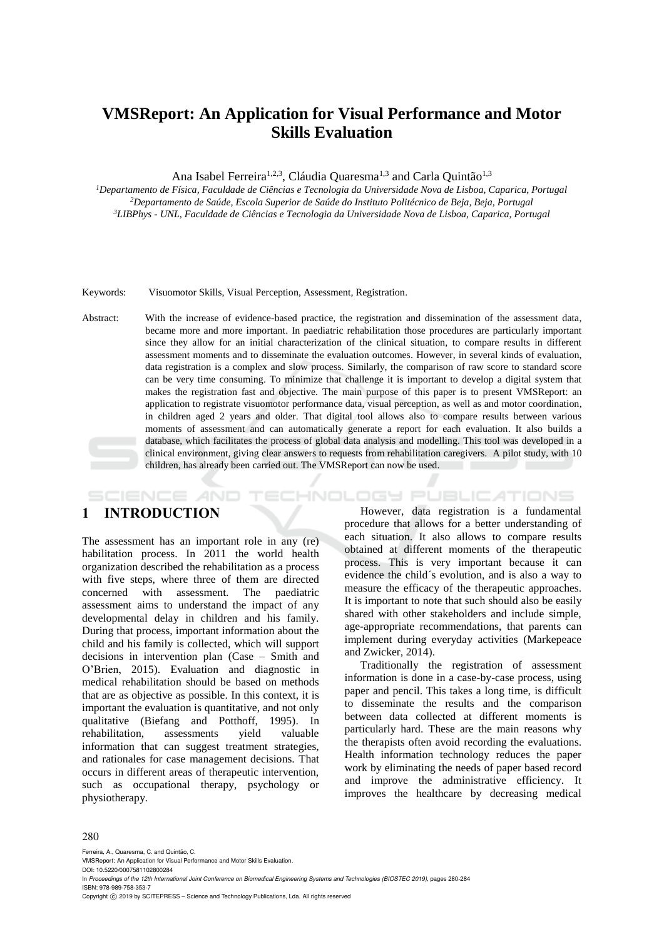# **VMSReport: An Application for Visual Performance and Motor Skills Evaluation**

Ana Isabel Ferreira<sup>1,2,3</sup>, Cláudia Quaresma<sup>1,3</sup> and Carla Quintão<sup>1,3</sup>

*<sup>1</sup>Departamento de Física, Faculdade de Ciências e Tecnologia da Universidade Nova de Lisboa, Caparica, Portugal <sup>2</sup>Departamento de Saúde, Escola Superior de Saúde do Instituto Politécnico de Beja, Beja, Portugal <sup>3</sup>LIBPhys - UNL, Faculdade de Ciências e Tecnologia da Universidade Nova de Lisboa, Caparica, Portugal* 

Keywords: Visuomotor Skills, Visual Perception, Assessment, Registration.

Abstract: With the increase of evidence-based practice, the registration and dissemination of the assessment data, became more and more important. In paediatric rehabilitation those procedures are particularly important since they allow for an initial characterization of the clinical situation, to compare results in different assessment moments and to disseminate the evaluation outcomes. However, in several kinds of evaluation, data registration is a complex and slow process. Similarly, the comparison of raw score to standard score can be very time consuming. To minimize that challenge it is important to develop a digital system that makes the registration fast and objective. The main purpose of this paper is to present VMSReport: an application to registrate visuomotor performance data, visual perception, as well as and motor coordination, in children aged 2 years and older. That digital tool allows also to compare results between various moments of assessment and can automatically generate a report for each evaluation. It also builds a database, which facilitates the process of global data analysis and modelling. This tool was developed in a clinical environment, giving clear answers to requests from rehabilitation caregivers. A pilot study, with 10 children, has already been carried out. The VMSReport can now be used.

## **1 INTRODUCTION**

**SCIENCE AND** 

The assessment has an important role in any (re) habilitation process. In 2011 the world health organization described the rehabilitation as a process with five steps, where three of them are directed concerned with assessment. The paediatric assessment aims to understand the impact of any developmental delay in children and his family. During that process, important information about the child and his family is collected, which will support decisions in intervention plan (Case – Smith and O'Brien, 2015). Evaluation and diagnostic in medical rehabilitation should be based on methods that are as objective as possible. In this context, it is important the evaluation is quantitative, and not only qualitative (Biefang and Potthoff, 1995). In rehabilitation, assessments yield valuable information that can suggest treatment strategies, and rationales for case management decisions. That occurs in different areas of therapeutic intervention, such as occupational therapy, psychology or physiotherapy.

However, data registration is a fundamental procedure that allows for a better understanding of each situation. It also allows to compare results obtained at different moments of the therapeutic process. This is very important because it can evidence the child´s evolution, and is also a way to measure the efficacy of the therapeutic approaches. It is important to note that such should also be easily shared with other stakeholders and include simple, age-appropriate recommendations, that parents can implement during everyday activities (Markepeace and Zwicker, 2014).

**TECHNOLOGY PUBLICATIONS** 

Traditionally the registration of assessment information is done in a case-by-case process, using paper and pencil. This takes a long time, is difficult to disseminate the results and the comparison between data collected at different moments is particularly hard. These are the main reasons why the therapists often avoid recording the evaluations. Health information technology reduces the paper work by eliminating the needs of paper based record and improve the administrative efficiency. It improves the healthcare by decreasing medical

#### 280

Ferreira, A., Quaresma, C. and Quintão, C. VMSReport: An Application for Visual Performance and Motor Skills Evaluation. DOI: 10.5220/0007581102800284 In *Proceedings of the 12th International Joint Conference on Biomedical Engineering Systems and Technologies (BIOSTEC 2019)*, pages 280-284 ISBN: 978-989-758-353-7

Copyright © 2019 by SCITEPRESS - Science and Technology Publications, Lda. All rights reserved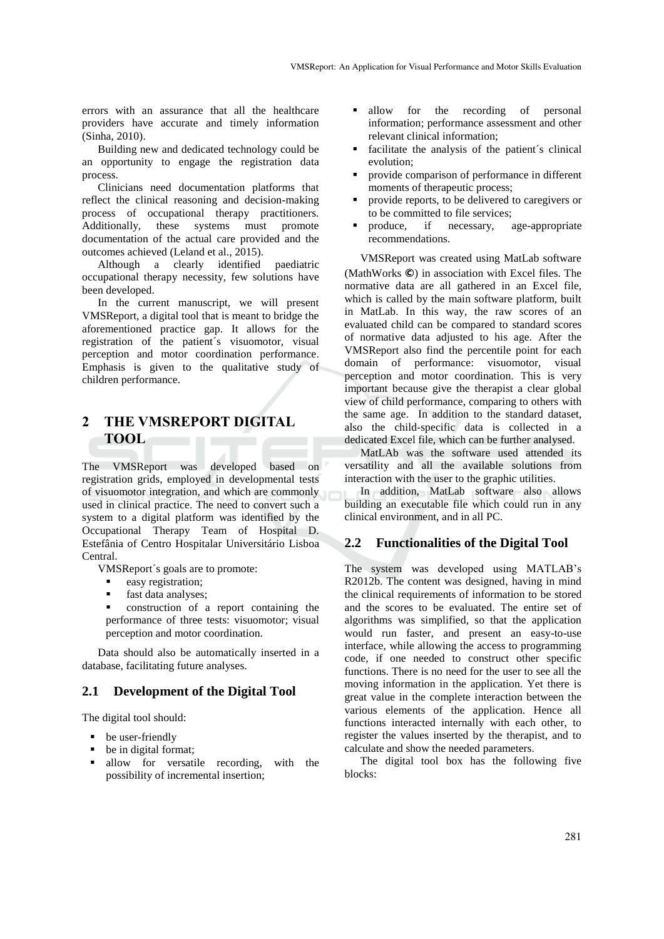errors with an assurance that all the healthcare providers have accurate and timely information (Sinha, 2010).

Building new and dedicated technology could be an opportunity to engage the registration data process.

Clinicians need documentation platforms that reflect the clinical reasoning and decision-making process of occupational therapy practitioners.<br>Additionally, these systems must promote Additionally, these systems must promote documentation of the actual care provided and the outcomes achieved (Leland et al., 2015).

Although a clearly identified paediatric occupational therapy necessity, few solutions have been developed.

In the current manuscript, we will present VMSReport, a digital tool that is meant to bridge the aforementioned practice gap. It allows for the registration of the patient´s visuomotor, visual perception and motor coordination performance. Emphasis is given to the qualitative study of children performance.

#### **2 THE VMSREPORT DIGITAL TOOL** . .

The VMSReport was developed based on registration grids, employed in developmental tests of visuomotor integration, and which are commonly used in clinical practice. The need to convert such a system to a digital platform was identified by the Occupational Therapy Team of Hospital D. Estefânia of Centro Hospitalar Universitário Lisboa Central.

VMSReport´s goals are to promote:

- easy registration;
- fast data analyses;
- construction of a report containing the performance of three tests: visuomotor; visual perception and motor coordination.

Data should also be automatically inserted in a database, facilitating future analyses.

## **2.1 Development of the Digital Tool**

The digital tool should:

- be user-friendly
- be in digital format;
- allow for versatile recording, with the possibility of incremental insertion;
- allow for the recording of personal information; performance assessment and other relevant clinical information;
- facilitate the analysis of the patient´s clinical evolution;
- provide comparison of performance in different moments of therapeutic process;
- provide reports, to be delivered to caregivers or to be committed to file services;
- produce, if necessary, age-appropriate recommendations.

VMSReport was created using MatLab software (MathWorks **©**) in association with Excel files. The normative data are all gathered in an Excel file, which is called by the main software platform, built in MatLab. In this way, the raw scores of an evaluated child can be compared to standard scores of normative data adjusted to his age. After the VMSReport also find the percentile point for each domain of performance: visuomotor, visual perception and motor coordination. This is very important because give the therapist a clear global view of child performance, comparing to others with the same age. In addition to the standard dataset, also the child-specific data is collected in a dedicated Excel file, which can be further analysed.

MatLAb was the software used attended its versatility and all the available solutions from interaction with the user to the graphic utilities.

In addition, MatLab software also allows building an executable file which could run in any clinical environment, and in all PC.

### **2.2 Functionalities of the Digital Tool**

The system was developed using MATLAB's R2012b. The content was designed, having in mind the clinical requirements of information to be stored and the scores to be evaluated. The entire set of algorithms was simplified, so that the application would run faster, and present an easy-to-use interface, while allowing the access to programming code, if one needed to construct other specific functions. There is no need for the user to see all the moving information in the application. Yet there is great value in the complete interaction between the various elements of the application. Hence all functions interacted internally with each other, to register the values inserted by the therapist, and to calculate and show the needed parameters.

The digital tool box has the following five blocks: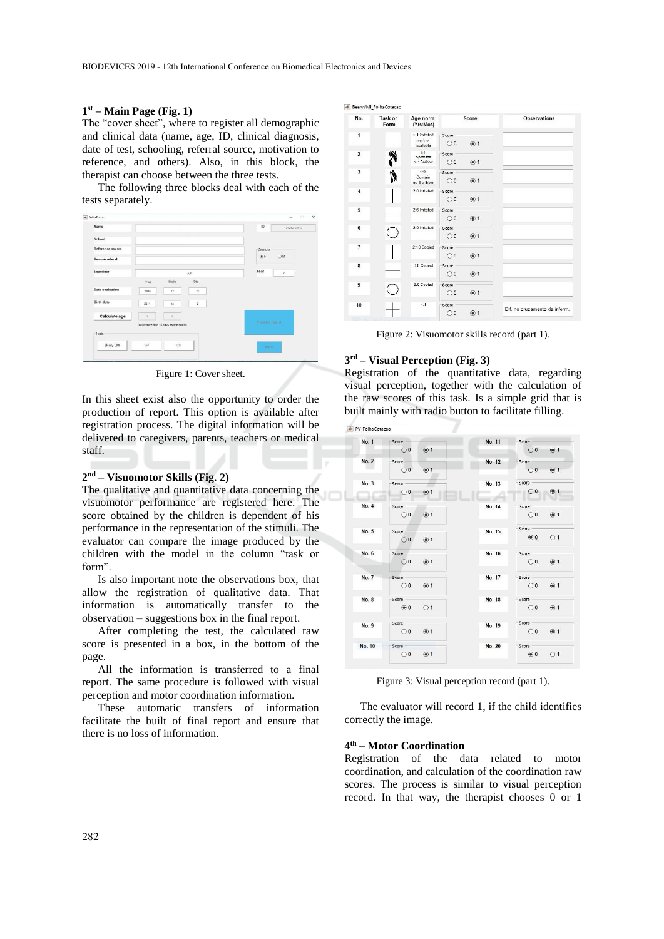#### **1 st – Main Page (Fig. 1)**

The "cover sheet", where to register all demographic and clinical data (name, age, ID, clinical diagnosis, date of test, schooling, referral source, motivation to reference, and others). Also, in this block, the therapist can choose between the three tests.

The following three blocks deal with each of the tests separately.

| Name                   |        |                                        |              | 10               | 181212153953   |
|------------------------|--------|----------------------------------------|--------------|------------------|----------------|
| School                 |        |                                        |              |                  |                |
| Reference source       |        |                                        |              | Gender           |                |
| Reason referal         |        |                                        |              | $\circledcirc$ F | OM             |
| Examiner               |        |                                        | AF.          | Year             | $\overline{2}$ |
|                        | Year   | Month                                  | Day          |                  |                |
| <b>Date</b> evaluation | 2018   | 12                                     | 12           |                  |                |
| <b>Birth date</b>      | 2011   | 04                                     | $\mathbf{z}$ |                  |                |
| Calculate age          | $\tau$ | $\mathbf{g}$                           |              |                  |                |
|                        |        | (count more than 15 days as one month) |              | Product inputt   |                |
| Tests                  |        |                                        |              |                  |                |
| Beery VM               | VP.    | CM                                     |              | Save             |                |

Figure 1: Cover sheet.

In this sheet exist also the opportunity to order the production of report. This option is available after registration process. The digital information will be delivered to caregivers, parents, teachers or medical staff.

#### **2 nd – Visuomotor Skills (Fig. 2)**

The qualitative and quantitative data concerning the visuomotor performance are registered here. The score obtained by the children is dependent of his performance in the representation of the stimuli. The evaluator can compare the image produced by the children with the model in the column "task or form".

Is also important note the observations box, that allow the registration of qualitative data. That information is automatically transfer to the observation – suggestions box in the final report.

After completing the test, the calculated raw score is presented in a box, in the bottom of the page.

All the information is transferred to a final report. The same procedure is followed with visual perception and motor coordination information.

These automatic transfers of information facilitate the built of final report and ensure that there is no loss of information.

▲ BeeryVMI\_FolhaCotacao

| No.            | Task or<br>Form | Age norm<br>(Yrs:Mos)               | Score                              | <b>Observations</b>           |
|----------------|-----------------|-------------------------------------|------------------------------------|-------------------------------|
| $\mathbf{1}$   |                 | 1:1 imitated<br>mark or<br>scribble | Score<br>$\bigcirc$ 0<br>$\odot$ 1 |                               |
| $\overline{2}$ |                 | 1:4<br>Spontane<br>ous Scribble     | Score<br>$\odot$ 1<br>$\bigcirc$ 0 |                               |
| 3              | Ņ               | 1:9<br>Contain<br>ed Scribble       | Score<br>$\bigcirc$ 0<br>$\odot$ 1 |                               |
| 4              |                 | 2:0 Imitated                        | Score<br>@1<br>$\bigcirc$ 0        |                               |
| 5              |                 | 2:6 Imitated                        | Score<br>@1<br>$\bigcirc$ 0        |                               |
| 6              | Ċ               | 2:9 Imitated                        | Score<br>@1<br>$\bigcirc$ 0        |                               |
| $\overline{1}$ |                 | 2:10 Copied                         | Score<br>@1<br>$\bigcirc$          |                               |
| 8              |                 | 3:0 Copied                          | Score<br>$•$<br>$\bigcirc$         |                               |
| $\overline{9}$ |                 | 3:0 Copied                          | Score<br>$\odot$ 1<br>$\bigcirc$ 0 |                               |
| 10             |                 | 4:1                                 | Score<br>@1<br>$\bigcirc$ 0        | Dif. no cruzamento da inform. |

Figure 2: Visuomotor skills record (part 1).

#### **3 rd – Visual Perception (Fig. 3)**

Registration of the quantitative data, regarding visual perception, together with the calculation of the raw scores of this task. Is a simple grid that is built mainly with radio button to facilitate filling.

PV\_FolhaCotacao

| No. 1        | Score            |                  | No. 11 | Score                                 |
|--------------|------------------|------------------|--------|---------------------------------------|
|              | $\bigcirc$ 0     | ③ 1              |        | ③ 1<br>$\bigcirc$ 0                   |
| No. 2        | Score            |                  | No. 12 | Score                                 |
|              | $\bigcirc$ 0     | $\odot$ 1        |        | $\circledcirc$ 1<br>$\bigcirc$ 0      |
| No. 3        | Score -          | $\sim$           | No. 13 | Score                                 |
|              | $\bigcirc$ 0     | $\odot$ 1        |        | $\odot$ 1<br>$\bigcirc$ 0<br>$-10.14$ |
| No. 4        | Score -          |                  | No. 14 | Score                                 |
|              | O <sub>0</sub>   | $\odot$ 1        |        | ③ 1<br>$\bigcirc$ 0                   |
| No. 5        | Score            |                  | No. 15 | Score                                 |
|              | $\bigcirc$ 0     | $\odot$ 1        |        | $\circ$ 0<br>O <sub>1</sub>           |
| No. 6        | Score            |                  | No. 16 | Score                                 |
|              | $\bigcirc$ 0     | $\circledcirc$ 1 |        | @1<br>$\circ$                         |
| <b>No. 7</b> | Score            |                  | No. 17 | Score                                 |
|              | $\bigcirc$ 0     | $\odot$ 1        |        | @1<br>$\bigcirc$ 0                    |
| No. 8        | Score            |                  | No. 18 | Score                                 |
|              | $\circledcirc$ 0 | O <sub>1</sub>   |        | $\odot$ 1<br>$\bigcirc$ 0             |
| No. 9        | Score            |                  | No. 19 | Score                                 |
|              | $\bigcirc$ 0     | $\circledcirc$ 1 |        | ① 1<br>$\bigcirc$ 0                   |
| No. 10       | Score            |                  | No. 20 | Score                                 |
|              | $\bigcirc$ 0     | $\odot$ 1        |        | $\circledcirc$ 0<br>O <sub>1</sub>    |

Figure 3: Visual perception record (part 1).

The evaluator will record 1, if the child identifies correctly the image.

#### **4 th – Motor Coordination**

Registration of the data related to motor coordination, and calculation of the coordination raw scores. The process is similar to visual perception record. In that way, the therapist chooses 0 or 1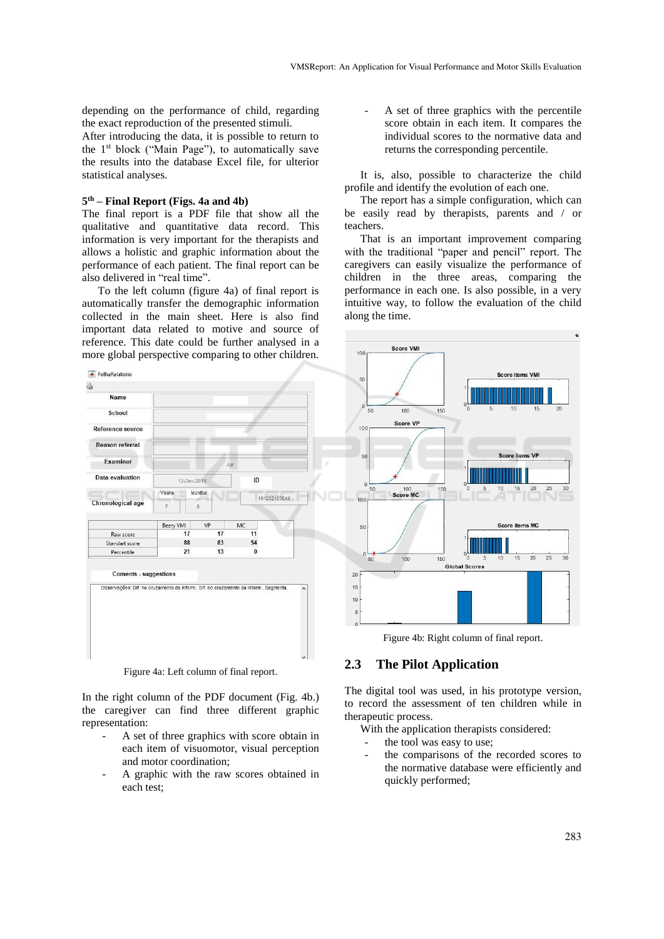depending on the performance of child, regarding the exact reproduction of the presented stimuli.

After introducing the data, it is possible to return to the 1st block ("Main Page"), to automatically save the results into the database Excel file, for ulterior statistical analyses.

#### **5 th – Final Report (Figs. 4a and 4b)**

The final report is a PDF file that show all the qualitative and quantitative data record. This information is very important for the therapists and allows a holistic and graphic information about the performance of each patient. The final report can be also delivered in "real time".

To the left column (figure 4a) of final report is automatically transfer the demographic information collected in the main sheet. Here is also find important data related to motive and source of reference. This date could be further analysed in a more global perspective comparing to other children.



Figure 4a: Left column of final report.

In the right column of the PDF document (Fig. 4b.) the caregiver can find three different graphic representation:

- A set of three graphics with score obtain in each item of visuomotor, visual perception and motor coordination;
- A graphic with the raw scores obtained in each test;

A set of three graphics with the percentile score obtain in each item. It compares the individual scores to the normative data and returns the corresponding percentile.

It is, also, possible to characterize the child profile and identify the evolution of each one.

The report has a simple configuration, which can be easily read by therapists, parents and / or teachers.

That is an important improvement comparing with the traditional "paper and pencil" report. The caregivers can easily visualize the performance of children in the three areas, comparing the performance in each one. Is also possible, in a very intuitive way, to follow the evaluation of the child along the time.



Figure 4b: Right column of final report.

## **2.3 The Pilot Application**

The digital tool was used, in his prototype version, to record the assessment of ten children while in therapeutic process.

With the application therapists considered:

- the tool was easy to use:
- the comparisons of the recorded scores to the normative database were efficiently and quickly performed;